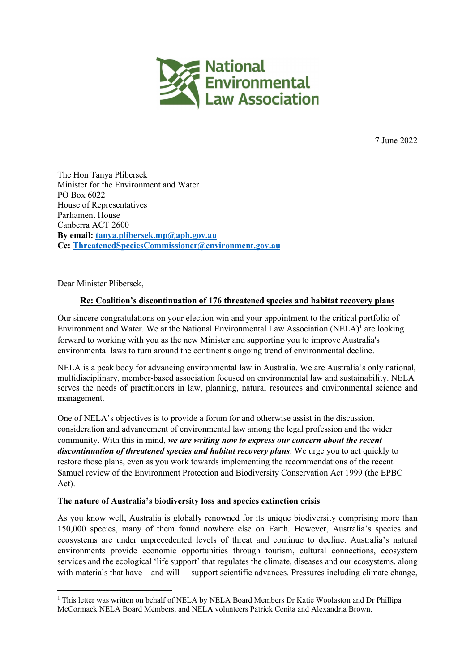

7 June 2022

The Hon Tanya Plibersek Minister for the Environment and Water PO Box 6022 House of Representatives Parliament House Canberra ACT 2600 By email: tanya.plibersek.mp@aph.gov.au Cc: ThreatenedSpeciesCommissioner@environment.gov.au

Dear Minister Plibersek,

# Re: Coalition's discontinuation of 176 threatened species and habitat recovery plans

Our sincere congratulations on your election win and your appointment to the critical portfolio of Environment and Water. We at the National Environmental Law Association (NELA)<sup>1</sup> are looking forward to working with you as the new Minister and supporting you to improve Australia's environmental laws to turn around the continent's ongoing trend of environmental decline.

NELA is a peak body for advancing environmental law in Australia. We are Australia's only national, multidisciplinary, member-based association focused on environmental law and sustainability. NELA serves the needs of practitioners in law, planning, natural resources and environmental science and management.

One of NELA's objectives is to provide a forum for and otherwise assist in the discussion, consideration and advancement of environmental law among the legal profession and the wider community. With this in mind, we are writing now to express our concern about the recent discontinuation of threatened species and habitat recovery plans. We urge you to act quickly to restore those plans, even as you work towards implementing the recommendations of the recent Samuel review of the Environment Protection and Biodiversity Conservation Act 1999 (the EPBC Act).

#### The nature of Australia's biodiversity loss and species extinction crisis

As you know well, Australia is globally renowned for its unique biodiversity comprising more than 150,000 species, many of them found nowhere else on Earth. However, Australia's species and ecosystems are under unprecedented levels of threat and continue to decline. Australia's natural environments provide economic opportunities through tourism, cultural connections, ecosystem services and the ecological 'life support' that regulates the climate, diseases and our ecosystems, along with materials that have – and will – support scientific advances. Pressures including climate change,

<sup>&</sup>lt;sup>1</sup> This letter was written on behalf of NELA by NELA Board Members Dr Katie Woolaston and Dr Phillipa McCormack NELA Board Members, and NELA volunteers Patrick Cenita and Alexandria Brown.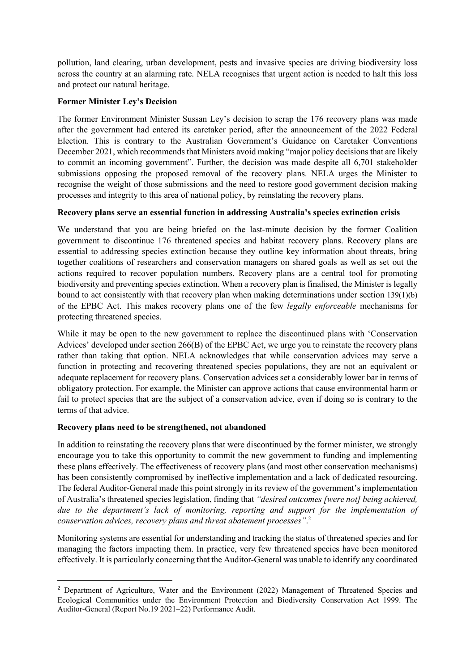pollution, land clearing, urban development, pests and invasive species are driving biodiversity loss across the country at an alarming rate. NELA recognises that urgent action is needed to halt this loss and protect our natural heritage.

## Former Minister Ley's Decision

The former Environment Minister Sussan Ley's decision to scrap the 176 recovery plans was made after the government had entered its caretaker period, after the announcement of the 2022 Federal Election. This is contrary to the Australian Government's Guidance on Caretaker Conventions December 2021, which recommends that Ministers avoid making "major policy decisions that are likely to commit an incoming government". Further, the decision was made despite all 6,701 stakeholder submissions opposing the proposed removal of the recovery plans. NELA urges the Minister to recognise the weight of those submissions and the need to restore good government decision making processes and integrity to this area of national policy, by reinstating the recovery plans.

### Recovery plans serve an essential function in addressing Australia's species extinction crisis

We understand that you are being briefed on the last-minute decision by the former Coalition government to discontinue 176 threatened species and habitat recovery plans. Recovery plans are essential to addressing species extinction because they outline key information about threats, bring together coalitions of researchers and conservation managers on shared goals as well as set out the actions required to recover population numbers. Recovery plans are a central tool for promoting biodiversity and preventing species extinction. When a recovery plan is finalised, the Minister is legally bound to act consistently with that recovery plan when making determinations under section 139(1)(b) of the EPBC Act. This makes recovery plans one of the few legally enforceable mechanisms for protecting threatened species.

While it may be open to the new government to replace the discontinued plans with 'Conservation Advices' developed under section 266(B) of the EPBC Act, we urge you to reinstate the recovery plans rather than taking that option. NELA acknowledges that while conservation advices may serve a function in protecting and recovering threatened species populations, they are not an equivalent or adequate replacement for recovery plans. Conservation advices set a considerably lower bar in terms of obligatory protection. For example, the Minister can approve actions that cause environmental harm or fail to protect species that are the subject of a conservation advice, even if doing so is contrary to the terms of that advice.

# Recovery plans need to be strengthened, not abandoned

In addition to reinstating the recovery plans that were discontinued by the former minister, we strongly encourage you to take this opportunity to commit the new government to funding and implementing these plans effectively. The effectiveness of recovery plans (and most other conservation mechanisms) has been consistently compromised by ineffective implementation and a lack of dedicated resourcing. The federal Auditor-General made this point strongly in its review of the government's implementation of Australia's threatened species legislation, finding that "desired outcomes [were not] being achieved, due to the department's lack of monitoring, reporting and support for the implementation of conservation advices, recovery plans and threat abatement processes". 2

Monitoring systems are essential for understanding and tracking the status of threatened species and for managing the factors impacting them. In practice, very few threatened species have been monitored effectively. It is particularly concerning that the Auditor-General was unable to identify any coordinated

<sup>&</sup>lt;sup>2</sup> Department of Agriculture, Water and the Environment (2022) Management of Threatened Species and Ecological Communities under the Environment Protection and Biodiversity Conservation Act 1999. The Auditor-General (Report No.19 2021–22) Performance Audit.